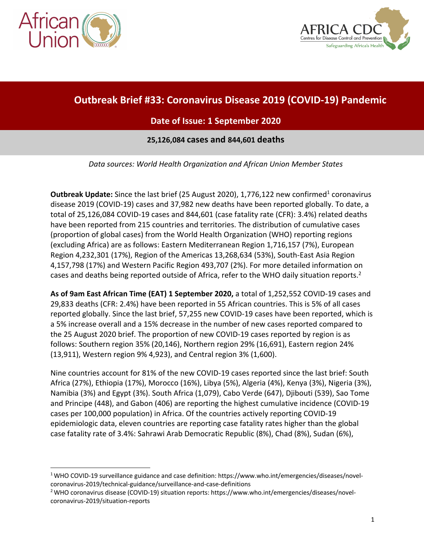



# **Outbreak Brief #33: Coronavirus Disease 2019 (COVID-19) Pandemic**

# **Date of Issue: 1 September 2020**

#### **25,126,084 cases and 844,601 deaths**

*Data sources: World Health Organization and African Union Member States*

**Outbreak Update:** Since the last brief (25 August 2020), 1,776,122 new confirmed<sup>1</sup> coronavirus disease 2019 (COVID-19) cases and 37,982 new deaths have been reported globally. To date, a total of 25,126,084 COVID-19 cases and 844,601 (case fatality rate (CFR): 3.4%) related deaths have been reported from 215 countries and territories. The distribution of cumulative cases (proportion of global cases) from the World Health Organization (WHO) reporting regions (excluding Africa) are as follows: Eastern Mediterranean Region 1,716,157 (7%), European Region 4,232,301 (17%), Region of the Americas 13,268,634 (53%), South-East Asia Region 4,157,798 (17%) and Western Pacific Region 493,707 (2%). For more detailed information on cases and deaths being reported outside of Africa, refer to the WHO daily situation reports.<sup>2</sup>

**As of 9am East African Time (EAT) 1 September 2020,** a total of 1,252,552 COVID-19 cases and 29,833 deaths (CFR: 2.4%) have been reported in 55 African countries. This is 5% of all cases reported globally. Since the last brief, 57,255 new COVID-19 cases have been reported, which is a 5% increase overall and a 15% decrease in the number of new cases reported compared to the 25 August 2020 brief. The proportion of new COVID-19 cases reported by region is as follows: Southern region 35% (20,146), Northern region 29% (16,691), Eastern region 24% (13,911), Western region 9% 4,923), and Central region 3% (1,600).

Nine countries account for 81% of the new COVID-19 cases reported since the last brief: South Africa (27%), Ethiopia (17%), Morocco (16%), Libya (5%), Algeria (4%), Kenya (3%), Nigeria (3%), Namibia (3%) and Egypt (3%). South Africa (1,079), Cabo Verde (647), Djibouti (539), Sao Tome and Principe (448), and Gabon (406) are reporting the highest cumulative incidence (COVID-19 cases per 100,000 population) in Africa. Of the countries actively reporting COVID-19 epidemiologic data, eleven countries are reporting case fatality rates higher than the global case fatality rate of 3.4%: Sahrawi Arab Democratic Republic (8%), Chad (8%), Sudan (6%),

<sup>1</sup> WHO COVID-19 surveillance guidance and case definition: https://www.who.int/emergencies/diseases/novelcoronavirus-2019/technical-guidance/surveillance-and-case-definitions<br><sup>2</sup> WHO coronavirus disease (COVID-19) situation reports: https://www.who.int/emergencies/diseases/novel-

coronavirus-2019/situation-reports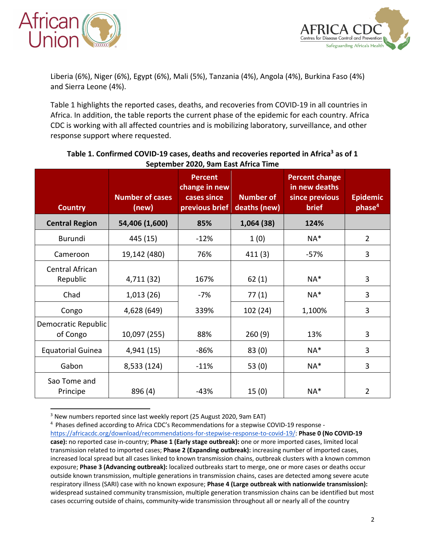



Liberia (6%), Niger (6%), Egypt (6%), Mali (5%), Tanzania (4%), Angola (4%), Burkina Faso (4%) and Sierra Leone (4%).

Table 1 highlights the reported cases, deaths, and recoveries from COVID-19 in all countries in Africa. In addition, the table reports the current phase of the epidemic for each country. Africa CDC is working with all affected countries and is mobilizing laboratory, surveillance, and other response support where requested.

| <b>Country</b>                     | <b>Number of cases</b><br>(new) | <b>Percent</b><br>change in new<br>cases since<br>previous brief | <b>Number of</b><br>deaths (new) | <b>Percent change</b><br>in new deaths<br>since previous<br><b>brief</b> | <b>Epidemic</b><br>phase <sup>4</sup> |
|------------------------------------|---------------------------------|------------------------------------------------------------------|----------------------------------|--------------------------------------------------------------------------|---------------------------------------|
| <b>Central Region</b>              | 54,406 (1,600)                  | 85%                                                              | 1,064(38)                        | 124%                                                                     |                                       |
| Burundi                            | 445 (15)                        | $-12%$                                                           | 1(0)                             | $NA*$                                                                    | $\overline{2}$                        |
| Cameroon                           | 19,142 (480)                    | 76%                                                              | 411(3)                           | $-57%$                                                                   | 3                                     |
| <b>Central African</b><br>Republic | 4,711 (32)                      | 167%                                                             | 62(1)                            | $NA*$                                                                    | 3                                     |
| Chad                               | 1,013(26)                       | -7%                                                              | 77(1)                            | NA*                                                                      | 3                                     |
| Congo                              | 4,628 (649)                     | 339%                                                             | 102 (24)                         | 1,100%                                                                   | 3                                     |
| Democratic Republic<br>of Congo    | 10,097 (255)                    | 88%                                                              | 260(9)                           | 13%                                                                      | 3                                     |
| <b>Equatorial Guinea</b>           | 4,941 (15)                      | $-86%$                                                           | 83(0)                            | $NA^*$                                                                   | 3                                     |
| Gabon                              | 8,533 (124)                     | $-11%$                                                           | 53 $(0)$                         | NA*                                                                      | $\overline{3}$                        |
| Sao Tome and<br>Principe           | 896 (4)                         | $-43%$                                                           | 15(0)                            | $NA*$                                                                    | 2                                     |

#### Table 1. Confirmed COVID-19 cases, deaths and recoveries reported in Africa<sup>3</sup> as of 1 **September 2020, 9am East Africa Time**

<sup>3</sup> New numbers reported since last weekly report (25 August 2020, 9am EAT)

<sup>4</sup> Phases defined according to Africa CDC's Recommendations for a stepwise COVID-19 response https://africacdc.org/download/recommendations-for-stepwise-response-to-covid-19/: **Phase 0 (No COVID-19 case):** no reported case in-country; **Phase 1 (Early stage outbreak):** one or more imported cases, limited local transmission related to imported cases; **Phase 2 (Expanding outbreak):** increasing number of imported cases, increased local spread but all cases linked to known transmission chains, outbreak clusters with a known common exposure; **Phase 3 (Advancing outbreak):** localized outbreaks start to merge, one or more cases or deaths occur outside known transmission, multiple generations in transmission chains, cases are detected among severe acute respiratory illness (SARI) case with no known exposure; **Phase 4 (Large outbreak with nationwide transmission):**  widespread sustained community transmission, multiple generation transmission chains can be identified but most cases occurring outside of chains, community-wide transmission throughout all or nearly all of the country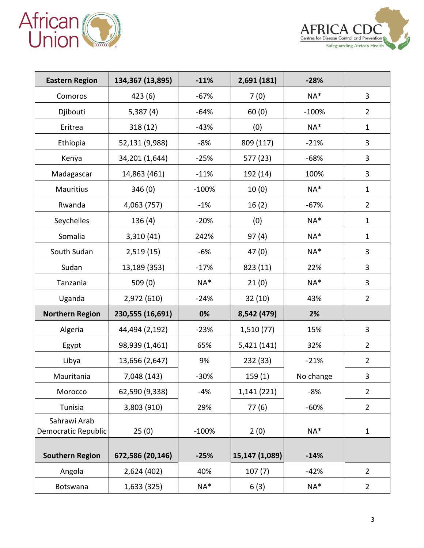



| <b>Eastern Region</b>               | 134,367 (13,895) | $-11%$  | 2,691 (181)    | $-28%$    |                |
|-------------------------------------|------------------|---------|----------------|-----------|----------------|
| Comoros                             | 423(6)           | $-67%$  | 7(0)           | NA*       | $\overline{3}$ |
| Djibouti                            | 5,387(4)         | $-64%$  | 60(0)          | $-100%$   | $\overline{2}$ |
| Eritrea                             | 318(12)          | $-43%$  | (0)            | $NA*$     | $\mathbf{1}$   |
| Ethiopia                            | 52,131 (9,988)   | $-8%$   | 809 (117)      | $-21%$    | $\overline{3}$ |
| Kenya                               | 34,201 (1,644)   | $-25%$  | 577 (23)       | $-68%$    | $\overline{3}$ |
| Madagascar                          | 14,863 (461)     | $-11%$  | 192 (14)       | 100%      | $\overline{3}$ |
| Mauritius                           | 346(0)           | $-100%$ | 10(0)          | NA*       | $\mathbf{1}$   |
| Rwanda                              | 4,063 (757)      | $-1%$   | 16(2)          | $-67%$    | $\overline{2}$ |
| Seychelles                          | 136(4)           | $-20%$  | (0)            | NA*       | $\mathbf{1}$   |
| Somalia                             | 3,310(41)        | 242%    | 97(4)          | NA*       | $\mathbf{1}$   |
| South Sudan                         | 2,519(15)        | $-6%$   | 47(0)          | $NA*$     | 3              |
| Sudan                               | 13,189 (353)     | $-17%$  | 823 (11)       | 22%       | $\overline{3}$ |
| Tanzania                            | 509 (0)          | $NA*$   | 21(0)          | $NA*$     | 3              |
| Uganda                              | 2,972 (610)      | $-24%$  | 32(10)         | 43%       | $\overline{2}$ |
| <b>Northern Region</b>              | 230,555 (16,691) | 0%      | 8,542 (479)    | 2%        |                |
| Algeria                             | 44,494 (2,192)   | $-23%$  | 1,510(77)      | 15%       | $\overline{3}$ |
| Egypt                               | 98,939 (1,461)   | 65%     | 5,421 (141)    | 32%       | $\overline{2}$ |
| Libya                               | 13,656 (2,647)   | 9%      | 232 (33)       | $-21%$    | $\overline{2}$ |
| Mauritania                          | 7,048 (143)      | $-30%$  | 159(1)         | No change | 3              |
| Morocco                             | 62,590 (9,338)   | $-4%$   | 1,141 (221)    | $-8%$     | $\overline{2}$ |
| Tunisia                             | 3,803 (910)      | 29%     | 77(6)          | $-60%$    | $\overline{2}$ |
| Sahrawi Arab<br>Democratic Republic | 25(0)            | $-100%$ | 2(0)           | $NA*$     | $\mathbf{1}$   |
| <b>Southern Region</b>              | 672,586 (20,146) | $-25%$  | 15,147 (1,089) | $-14%$    |                |
| Angola                              | 2,624 (402)      | 40%     | 107(7)         | $-42%$    | $\overline{2}$ |
| Botswana                            | 1,633 (325)      | NA*     | 6(3)           | $NA*$     | $\overline{2}$ |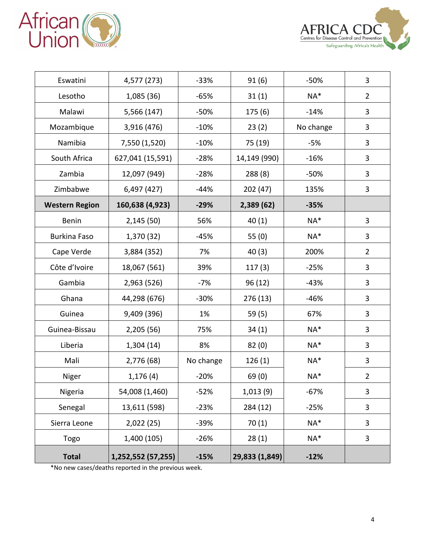



| Eswatini              | 4,577 (273)        | $-33%$    | 91(6)          | $-50%$    | 3              |
|-----------------------|--------------------|-----------|----------------|-----------|----------------|
| Lesotho               | 1,085 (36)         | $-65%$    | 31(1)          | NA*       | $\overline{2}$ |
| Malawi                | 5,566 (147)        | $-50%$    | 175(6)         | $-14%$    | 3              |
| Mozambique            | 3,916 (476)        | $-10%$    | 23(2)          | No change | 3              |
| Namibia               | 7,550 (1,520)      | $-10%$    | 75 (19)        | $-5%$     | 3              |
| South Africa          | 627,041 (15,591)   | $-28%$    | 14,149 (990)   | $-16%$    | 3              |
| Zambia                | 12,097 (949)       | $-28%$    | 288 (8)        | $-50%$    | 3              |
| Zimbabwe              | 6,497 (427)        | $-44%$    | 202 (47)       | 135%      | 3              |
| <b>Western Region</b> | 160,638 (4,923)    | $-29%$    | 2,389 (62)     | $-35%$    |                |
| <b>Benin</b>          | 2,145(50)          | 56%       | 40(1)          | NA*       | 3              |
| <b>Burkina Faso</b>   | 1,370 (32)         | $-45%$    | 55 (0)         | NA*       | 3              |
| Cape Verde            | 3,884 (352)        | 7%        | 40(3)          | 200%      | $\overline{2}$ |
| Côte d'Ivoire         | 18,067 (561)       | 39%       | 117(3)         | $-25%$    | 3              |
| Gambia                | 2,963 (526)        | $-7%$     | 96 (12)        | $-43%$    | 3              |
| Ghana                 | 44,298 (676)       | $-30%$    | 276 (13)       | $-46%$    | 3              |
| Guinea                | 9,409 (396)        | 1%        | 59 (5)         | 67%       | 3              |
| Guinea-Bissau         | 2,205 (56)         | 75%       | 34(1)          | $NA*$     | 3              |
| Liberia               | 1,304(14)          | 8%        | 82(0)          | $NA*$     | 3              |
| Mali                  | 2,776 (68)         | No change | 126(1)         | NA*       | 3              |
| Niger                 | 1,176(4)           | $-20%$    | 69(0)          | NA*       | $\overline{2}$ |
| Nigeria               | 54,008 (1,460)     | $-52%$    | 1,013(9)       | $-67%$    | 3              |
| Senegal               | 13,611 (598)       | $-23%$    | 284 (12)       | $-25%$    | 3              |
| Sierra Leone          | 2,022(25)          | $-39%$    | 70(1)          | NA*       | 3              |
| Togo                  | 1,400 (105)        | $-26%$    | 28(1)          | $NA^*$    | 3              |
| <b>Total</b>          | 1,252,552 (57,255) | $-15%$    | 29,833 (1,849) | $-12%$    |                |

\*No new cases/deaths reported in the previous week.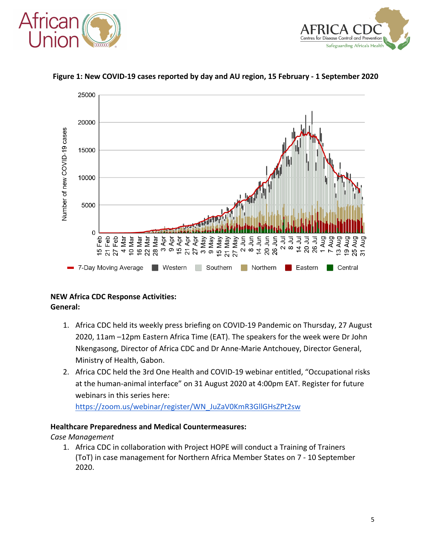





#### **Figure 1: New COVID-19 cases reported by day and AU region, 15 February - 1 September 2020**

#### **NEW Africa CDC Response Activities: General:**

- 1. Africa CDC held its weekly press briefing on COVID-19 Pandemic on Thursday, 27 August 2020, 11am –12pm Eastern Africa Time (EAT). The speakers for the week were Dr John Nkengasong, Director of Africa CDC and Dr Anne-Marie Antchouey, Director General, Ministry of Health, Gabon.
- 2. Africa CDC held the 3rd One Health and COVID-19 webinar entitled, "Occupational risks at the human-animal interface" on 31 August 2020 at 4:00pm EAT. Register for future webinars in this series here:

https://zoom.us/webinar/register/WN\_JuZaV0KmR3GllGHsZPt2sw

#### **Healthcare Preparedness and Medical Countermeasures:**

*Case Management*

1. Africa CDC in collaboration with Project HOPE will conduct a Training of Trainers (ToT) in case management for Northern Africa Member States on 7 - 10 September 2020.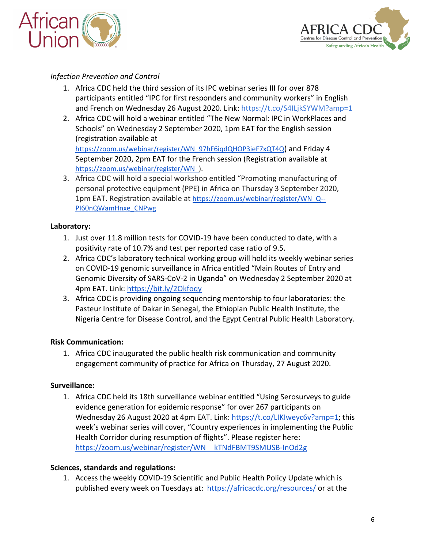



### *Infection Prevention and Control*

- 1. Africa CDC held the third session of its IPC webinar series III for over 878 participants entitled "IPC for first responders and community workers" in English and French on Wednesday 26 August 2020. Link: https://t.co/S4ILjkSYWM?amp=1
- 2. Africa CDC will hold a webinar entitled "The New Normal: IPC in WorkPlaces and Schools" on Wednesday 2 September 2020, 1pm EAT for the English session (registration available at

https://zoom.us/webinar/register/WN\_97hF6iqdQHOP3ieF7xQT4Q) and Friday 4 September 2020, 2pm EAT for the French session (Registration available at https://zoom.us/webinar/register/WN\_).

3. Africa CDC will hold a special workshop entitled "Promoting manufacturing of personal protective equipment (PPE) in Africa on Thursday 3 September 2020, 1pm EAT. Registration available at https://zoom.us/webinar/register/WN\_Q-- PI60nQWamHnxe\_CNPwg

#### **Laboratory:**

- 1. Just over 11.8 million tests for COVID-19 have been conducted to date, with a positivity rate of 10.7% and test per reported case ratio of 9.5.
- 2. Africa CDC's laboratory technical working group will hold its weekly webinar series on COVID-19 genomic surveillance in Africa entitled "Main Routes of Entry and Genomic Diversity of SARS-CoV-2 in Uganda" on Wednesday 2 September 2020 at 4pm EAT. Link: https://bit.ly/2Okfoqy
- 3. Africa CDC is providing ongoing sequencing mentorship to four laboratories: the Pasteur Institute of Dakar in Senegal, the Ethiopian Public Health Institute, the Nigeria Centre for Disease Control, and the Egypt Central Public Health Laboratory.

#### **Risk Communication:**

1. Africa CDC inaugurated the public health risk communication and community engagement community of practice for Africa on Thursday, 27 August 2020.

#### **Surveillance:**

1. Africa CDC held its 18th surveillance webinar entitled "Using Serosurveys to guide evidence generation for epidemic response" for over 267 participants on Wednesday 26 August 2020 at 4pm EAT. Link: https://t.co/LIKIweyc6v?amp=1; this week's webinar series will cover, "Country experiences in implementing the Public Health Corridor during resumption of flights". Please register here: https://zoom.us/webinar/register/WN\_\_kTNdFBMT9SMUSB-InOd2g

#### **Sciences, standards and regulations:**

1. Access the weekly COVID-19 Scientific and Public Health Policy Update which is published every week on Tuesdays at: https://africacdc.org/resources/ or at the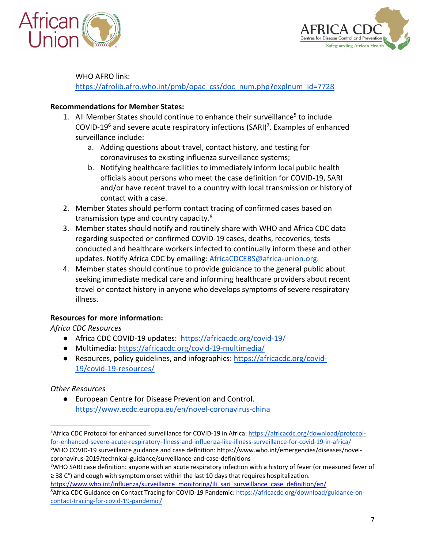



WHO AFRO link:

https://afrolib.afro.who.int/pmb/opac\_css/doc\_num.php?explnum\_id=7728

#### **Recommendations for Member States:**

- 1. All Member States should continue to enhance their surveillance<sup>5</sup> to include COVID-19<sup>6</sup> and severe acute respiratory infections (SARI)<sup>7</sup>. Examples of enhanced surveillance include:
	- a. Adding questions about travel, contact history, and testing for coronaviruses to existing influenza surveillance systems;
	- b. Notifying healthcare facilities to immediately inform local public health officials about persons who meet the case definition for COVID-19, SARI and/or have recent travel to a country with local transmission or history of contact with a case.
- 2. Member States should perform contact tracing of confirmed cases based on transmission type and country capacity.8
- 3. Member states should notify and routinely share with WHO and Africa CDC data regarding suspected or confirmed COVID-19 cases, deaths, recoveries, tests conducted and healthcare workers infected to continually inform these and other updates. Notify Africa CDC by emailing: AfricaCDCEBS@africa-union.org.
- 4. Member states should continue to provide guidance to the general public about seeking immediate medical care and informing healthcare providers about recent travel or contact history in anyone who develops symptoms of severe respiratory illness.

# **Resources for more information:**

*Africa CDC Resources*

- Africa CDC COVID-19 updates: https://africacdc.org/covid-19/
- Multimedia: https://africacdc.org/covid-19-multimedia/
- Resources, policy guidelines, and infographics: https://africacdc.org/covid-19/covid-19-resources/

# *Other Resources*

● European Centre for Disease Prevention and Control. https://www.ecdc.europa.eu/en/novel-coronavirus-china

https://www.who.int/influenza/surveillance\_monitoring/ili\_sari\_surveillance\_case\_definition/en/

<sup>&</sup>lt;sup>5</sup>Africa CDC Protocol for enhanced surveillance for COVID-19 in Africa: https://africacdc.org/download/protocolfor-enhanced-severe-acute-respiratory-illness-and-influenza-like-illness-surveillance-for-covid-19-in-africa/

<sup>&</sup>lt;sup>6</sup>WHO COVID-19 surveillance guidance and case definition: https://www.who.int/emergencies/diseases/novelcoronavirus-2019/technical-guidance/surveillance-and-case-definitions 7

<sup>&</sup>lt;sup>7</sup>WHO SARI case definition: anyone with an acute respiratory infection with a history of fever (or measured fever of ≥ 38 C°) and cough with symptom onset within the last 10 days that requires hospitalization.

<sup>&</sup>lt;sup>8</sup>Africa CDC Guidance on Contact Tracing for COVID-19 Pandemic: https://africacdc.org/download/guidance-oncontact-tracing-for-covid-19-pandemic/